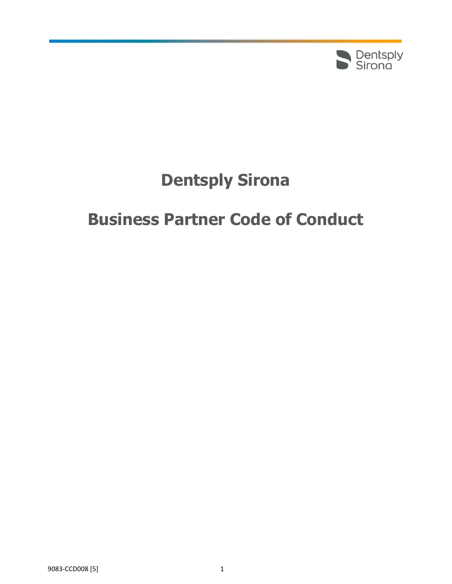

# **Dentsply Sirona**

# **Business Partner Code of Conduct**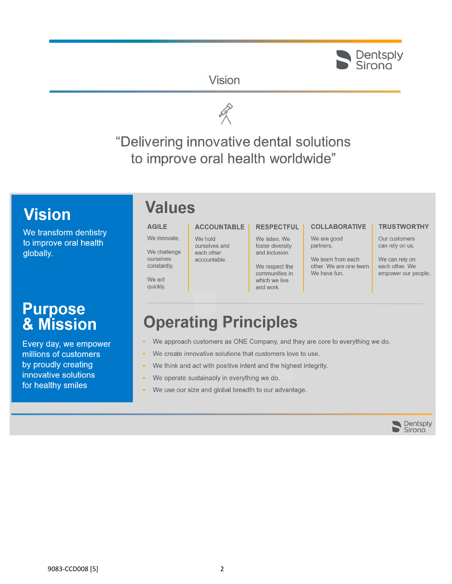# Sirong

# Vision



"Delivering innovative dental solutions to improve oral health worldwide"

# **Vision**

We transform dentistry to improve oral health globally.

# **Purpose<br>& Mission**

Every day, we empower millions of customers by proudly creating innovative solutions for healthy smiles

# **Values**

We innovate.

ourselves

constantly.

We act

quickly.

#### **AGILE ACCOUNTABLE**

We hold ourselves and We challenge each other accountable.

#### **RESPECTFUL**

We listen, We foster diversity and inclusion.

We respect the communities in which we live and work.

### **COLLABORATIVE**

We are good partners.

We learn from each other. We are one team. We have fun.

#### **TRUSTWORTHY**

Our customers can rely on us.

We can rely on each other. We empower our people.

# **Operating Principles**

- We approach customers as ONE Company, and they are core to everything we do.
- We create innovative solutions that customers love to use.
- We think and act with positive intent and the highest integrity.
- We operate sustainably in everything we do.
- We use our size and global breadth to our advantage.

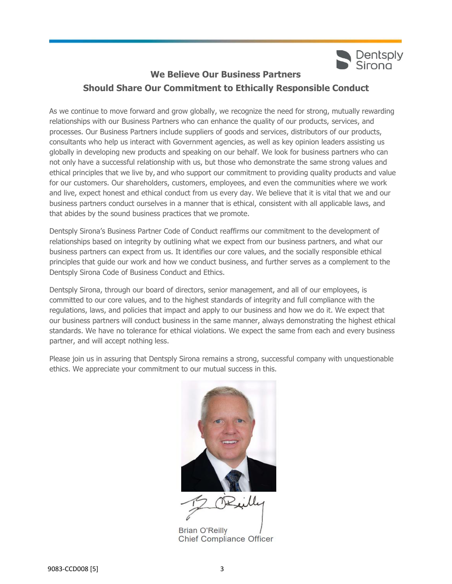

# **We Believe Our Business Partners Should Share Our Commitment to Ethically Responsible Conduct**

As we continue to move forward and grow globally, we recognize the need for strong, mutually rewarding relationships with our Business Partners who can enhance the quality of our products, services, and processes. Our Business Partners include suppliers of goods and services, distributors of our products, consultants who help us interact with Government agencies, as well as key opinion leaders assisting us globally in developing new products and speaking on our behalf. We look for business partners who can not only have a successful relationship with us, but those who demonstrate the same strong values and ethical principles that we live by, and who support our commitment to providing quality products and value for our customers. Our shareholders, customers, employees, and even the communities where we work and live, expect honest and ethical conduct from us every day. We believe that it is vital that we and our business partners conduct ourselves in a manner that is ethical, consistent with all applicable laws, and that abides by the sound business practices that we promote.

Dentsply Sirona's Business Partner Code of Conduct reaffirms our commitment to the development of relationships based on integrity by outlining what we expect from our business partners, and what our business partners can expect from us. It identifies our core values, and the socially responsible ethical principles that guide our work and how we conduct business, and further serves as a complement to the Dentsply Sirona Code of Business Conduct and Ethics.

Dentsply Sirona, through our board of directors, senior management, and all of our employees, is committed to our core values, and to the highest standards of integrity and full compliance with the regulations, laws, and policies that impact and apply to our business and how we do it. We expect that our business partners will conduct business in the same manner, always demonstrating the highest ethical standards. We have no tolerance for ethical violations. We expect the same from each and every business partner, and will accept nothing less.

Please join us in assuring that Dentsply Sirona remains a strong, successful company with unquestionable ethics. We appreciate your commitment to our mutual success in this.



**Brian O'Reilly Chief Compliance Officer**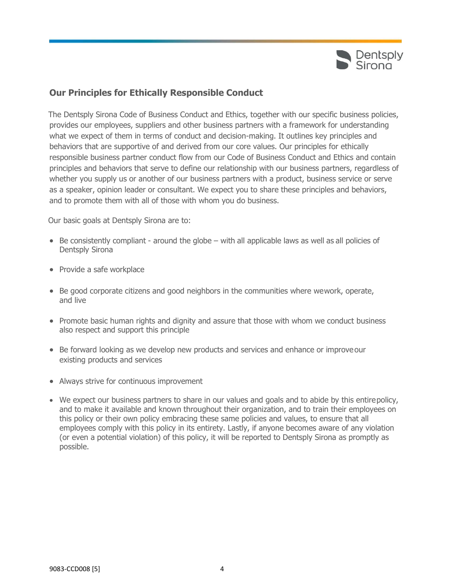

## **Our Principles for Ethically Responsible Conduct**

The Dentsply Sirona Code of Business Conduct and Ethics, together with our specific business policies, provides our employees, suppliers and other business partners with a framework for understanding what we expect of them in terms of conduct and decision-making. It outlines key principles and behaviors that are supportive of and derived from our core values. Our principles for ethically responsible business partner conduct flow from our Code of Business Conduct and Ethics and contain principles and behaviors that serve to define our relationship with our business partners, regardless of whether you supply us or another of our business partners with a product, business service or serve as a speaker, opinion leader or consultant. We expect you to share these principles and behaviors, and to promote them with all of those with whom you do business.

Our basic goals at Dentsply Sirona are to:

- Be consistently compliant around the globe with all applicable laws as well as all policies of Dentsply Sirona
- Provide a safe workplace
- Be good corporate citizens and good neighbors in the communities where wework, operate, and live
- Promote basic human rights and dignity and assure that those with whom we conduct business also respect and support this principle
- Be forward looking as we develop new products and services and enhance or improveour existing products and services
- Always strive for continuous improvement
- We expect our business partners to share in our values and goals and to abide by this entirepolicy, and to make it available and known throughout their organization, and to train their employees on this policy or their own policy embracing these same policies and values, to ensure that all employees comply with this policy in its entirety. Lastly, if anyone becomes aware of any violation (or even a potential violation) of this policy, it will be reported to Dentsply Sirona as promptly as possible.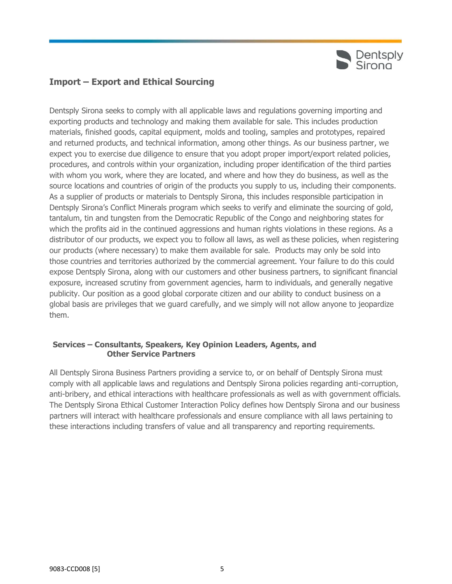

# **Import – Export and Ethical Sourcing**

Dentsply Sirona seeks to comply with all applicable laws and regulations governing importing and exporting products and technology and making them available for sale. This includes production materials, finished goods, capital equipment, molds and tooling, samples and prototypes, repaired and returned products, and technical information, among other things. As our business partner, we expect you to exercise due diligence to ensure that you adopt proper import/export related policies, procedures, and controls within your organization, including proper identification of the third parties with whom you work, where they are located, and where and how they do business, as well as the source locations and countries of origin of the products you supply to us, including their components. As a supplier of products or materials to Dentsply Sirona, this includes responsible participation in Dentsply Sirona's Conflict Minerals program which seeks to verify and eliminate the sourcing of gold, tantalum, tin and tungsten from the Democratic Republic of the Congo and neighboring states for which the profits aid in the continued aggressions and human rights violations in these regions. As a distributor of our products, we expect you to follow all laws, as well as these policies, when registering our products (where necessary) to make them available for sale. Products may only be sold into those countries and territories authorized by the commercial agreement. Your failure to do this could expose Dentsply Sirona, along with our customers and other business partners, to significant financial exposure, increased scrutiny from government agencies, harm to individuals, and generally negative publicity. Our position as a good global corporate citizen and our ability to conduct business on a global basis are privileges that we guard carefully, and we simply will not allow anyone to jeopardize them.

### **Services – Consultants, Speakers, Key Opinion Leaders, Agents, and Other Service Partners**

All Dentsply Sirona Business Partners providing a service to, or on behalf of Dentsply Sirona must comply with all applicable laws and regulations and Dentsply Sirona policies regarding anti-corruption, anti-bribery, and ethical interactions with healthcare professionals as well as with government officials. The Dentsply Sirona Ethical Customer Interaction Policy defines how Dentsply Sirona and our business partners will interact with healthcare professionals and ensure compliance with all laws pertaining to these interactions including transfers of value and all transparency and reporting requirements.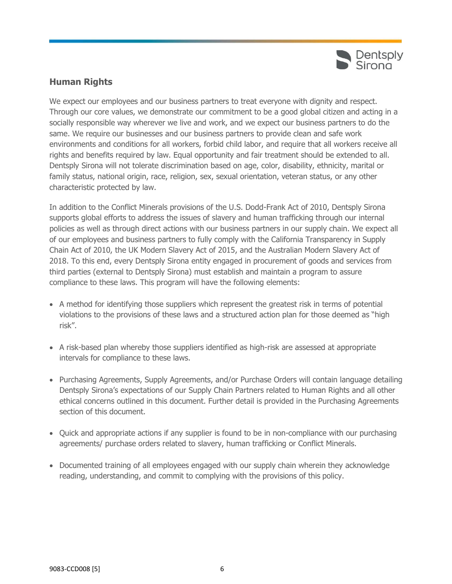

# **Human Rights**

We expect our employees and our business partners to treat everyone with dignity and respect. Through our core values, we demonstrate our commitment to be a good global citizen and acting in a socially responsible way wherever we live and work, and we expect our business partners to do the same. We require our businesses and our business partners to provide clean and safe work environments and conditions for all workers, forbid child labor, and require that all workers receive all rights and benefits required by law. Equal opportunity and fair treatment should be extended to all. Dentsply Sirona will not tolerate discrimination based on age, color, disability, ethnicity, marital or family status, national origin, race, religion, sex, sexual orientation, veteran status, or any other characteristic protected by law.

In addition to the Conflict Minerals provisions of the U.S. Dodd-Frank Act of 2010, Dentsply Sirona supports global efforts to address the issues of slavery and human trafficking through our internal policies as well as through direct actions with our business partners in our supply chain. We expect all of our employees and business partners to fully comply with the California Transparency in Supply Chain Act of 2010, the UK Modern Slavery Act of 2015, and the Australian Modern Slavery Act of 2018. To this end, every Dentsply Sirona entity engaged in procurement of goods and services from third parties (external to Dentsply Sirona) must establish and maintain a program to assure compliance to these laws. This program will have the following elements:

- A method for identifying those suppliers which represent the greatest risk in terms of potential violations to the provisions of these laws and a structured action plan for those deemed as "high risk".
- A risk-based plan whereby those suppliers identified as high-risk are assessed at appropriate intervals for compliance to these laws.
- Purchasing Agreements, Supply Agreements, and/or Purchase Orders will contain language detailing Dentsply Sirona's expectations of our Supply Chain Partners related to Human Rights and all other ethical concerns outlined in this document. Further detail is provided in the Purchasing Agreements section of this document.
- Quick and appropriate actions if any supplier is found to be in non-compliance with our purchasing agreements/ purchase orders related to slavery, human trafficking or Conflict Minerals.
- Documented training of all employees engaged with our supply chain wherein they acknowledge reading, understanding, and commit to complying with the provisions of this policy.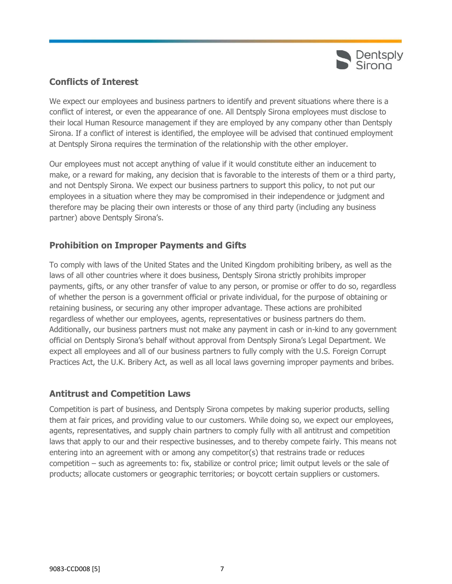

# **Conflicts of Interest**

We expect our employees and business partners to identify and prevent situations where there is a conflict of interest, or even the appearance of one. All Dentsply Sirona employees must disclose to their local Human Resource management if they are employed by any company other than Dentsply Sirona. If a conflict of interest is identified, the employee will be advised that continued employment at Dentsply Sirona requires the termination of the relationship with the other employer.

Our employees must not accept anything of value if it would constitute either an inducement to make, or a reward for making, any decision that is favorable to the interests of them or a third party, and not Dentsply Sirona. We expect our business partners to support this policy, to not put our employees in a situation where they may be compromised in their independence or judgment and therefore may be placing their own interests or those of any third party (including any business partner) above Dentsply Sirona's.

# **Prohibition on Improper Payments and Gifts**

To comply with laws of the United States and the United Kingdom prohibiting bribery, as well as the laws of all other countries where it does business, Dentsply Sirona strictly prohibits improper payments, gifts, or any other transfer of value to any person, or promise or offer to do so, regardless of whether the person is a government official or private individual, for the purpose of obtaining or retaining business, or securing any other improper advantage. These actions are prohibited regardless of whether our employees, agents, representatives or business partners do them. Additionally, our business partners must not make any payment in cash or in-kind to any government official on Dentsply Sirona's behalf without approval from Dentsply Sirona's Legal Department. We expect all employees and all of our business partners to fully comply with the U.S. Foreign Corrupt Practices Act, the U.K. Bribery Act, as well as all local laws governing improper payments and bribes.

## **Antitrust and Competition Laws**

Competition is part of business, and Dentsply Sirona competes by making superior products, selling them at fair prices, and providing value to our customers. While doing so, we expect our employees, agents, representatives, and supply chain partners to comply fully with all antitrust and competition laws that apply to our and their respective businesses, and to thereby compete fairly. This means not entering into an agreement with or among any competitor(s) that restrains trade or reduces competition – such as agreements to: fix, stabilize or control price; limit output levels or the sale of products; allocate customers or geographic territories; or boycott certain suppliers or customers.